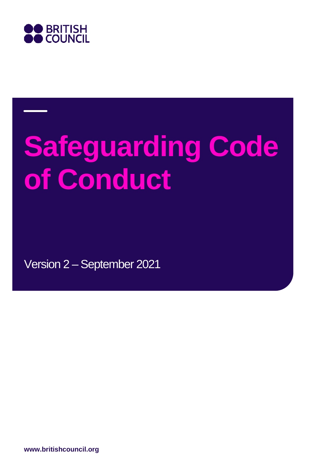

# **Safeguarding Code of Conduct**

Version 2 – September 2021

**www.britishcouncil.org**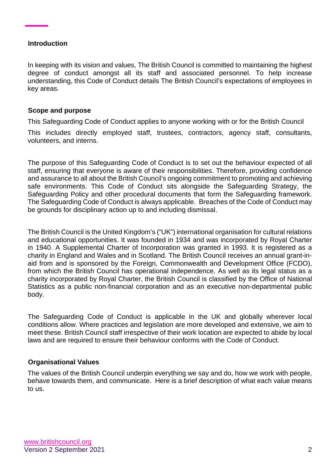#### **Introduction**

In keeping with its vision and values, The British Council is committed to maintaining the highest degree of conduct amongst all its staff and associated personnel. To help increase understanding, this Code of Conduct details The British Council's expectations of employees in key areas.

#### **Scope and purpose**

This Safeguarding Code of Conduct applies to anyone working with or for the British Council

This includes directly employed staff, trustees, contractors, agency staff, consultants, volunteers, and interns.

The purpose of this Safeguarding Code of Conduct is to set out the behaviour expected of all staff, ensuring that everyone is aware of their responsibilities. Therefore, providing confidence and assurance to all about the British Council's ongoing commitment to promoting and achieving safe environments. This Code of Conduct sits alongside the Safeguarding Strategy, the Safeguarding Policy and other procedural documents that form the Safeguarding framework. The Safeguarding Code of Conduct is always applicable. Breaches of the Code of Conduct may be grounds for disciplinary action up to and including dismissal.

The British Council is the United Kingdom's ("UK") international organisation for cultural relations and educational opportunities. It was founded in 1934 and was incorporated by Royal Charter in 1940. A Supplemental Charter of Incorporation was granted in 1993. It is registered as a charity in England and Wales and in Scotland. The British Council receives an annual grant-inaid from and is sponsored by the Foreign, Commonwealth and Development Office (FCDO), from which the British Council has operational independence. As well as its legal status as a charity incorporated by Royal Charter, the British Council is classified by the Office of National Statistics as a public non-financial corporation and as an executive non-departmental public body.

The Safeguarding Code of Conduct is applicable in the UK and globally wherever local conditions allow. Where practices and legislation are more developed and extensive, we aim to meet these. British Council staff irrespective of their work location are expected to abide by local laws and are required to ensure their behaviour conforms with the Code of Conduct.

## **Organisational Values**

The values of the British Council underpin everything we say and do, how we work with people, behave towards them, and communicate. Here is a brief description of what each value means to us.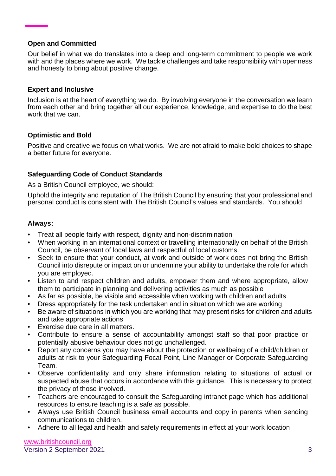## **Open and Committed**

Our belief in what we do translates into a deep and long-term commitment to people we work with and the places where we work. We tackle challenges and take responsibility with openness and honesty to bring about positive change.

## **Expert and Inclusive**

Inclusion is at the heart of everything we do. By involving everyone in the conversation we learn from each other and bring together all our experience, knowledge, and expertise to do the best work that we can.

## **Optimistic and Bold**

Positive and creative we focus on what works. We are not afraid to make bold choices to shape a better future for everyone.

## **Safeguarding Code of Conduct Standards**

As a British Council employee, we should:

Uphold the integrity and reputation of The British Council by ensuring that your professional and personal conduct is consistent with The British Council's values and standards. You should

## **Always:**

- Treat all people fairly with respect, dignity and non-discrimination
- When working in an international context or travelling internationally on behalf of the British Council, be observant of local laws and respectful of local customs.
- Seek to ensure that your conduct, at work and outside of work does not bring the British Council into disrepute or impact on or undermine your ability to undertake the role for which you are employed.
- Listen to and respect children and adults, empower them and where appropriate, allow them to participate in planning and delivering activities as much as possible
- As far as possible, be visible and accessible when working with children and adults
- Dress appropriately for the task undertaken and in situation which we are working
- Be aware of situations in which you are working that may present risks for children and adults and take appropriate actions
- Exercise due care in all matters.
- Contribute to ensure a sense of accountability amongst staff so that poor practice or potentially abusive behaviour does not go unchallenged.
- Report any concerns you may have about the protection or wellbeing of a child/children or adults at risk to your Safeguarding Focal Point, Line Manager or Corporate Safeguarding Team.
- Observe confidentiality and only share information relating to situations of actual or suspected abuse that occurs in accordance with this guidance. This is necessary to protect the privacy of those involved.
- Teachers are encouraged to consult the Safeguarding intranet page which has additional resources to ensure teaching is a safe as possible.
- Always use British Council business email accounts and copy in parents when sending communications to children.
- Adhere to all legal and health and safety requirements in effect at your work location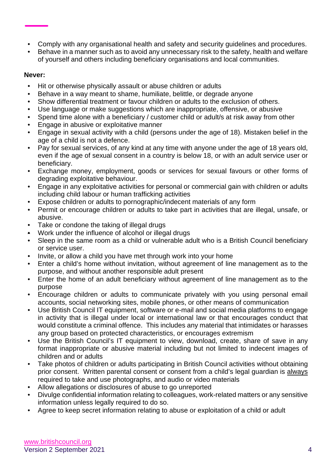- Comply with any organisational health and safety and security guidelines and procedures.
- Behave in a manner such as to avoid any unnecessary risk to the safety, health and welfare of yourself and others including beneficiary organisations and local communities.

# **Never:**

- Hit or otherwise physically assault or abuse children or adults
- Behave in a way meant to shame, humiliate, belittle, or degrade anyone
- Show differential treatment or favour children or adults to the exclusion of others.
- Use language or make suggestions which are inappropriate, offensive, or abusive
- Spend time alone with a beneficiary / customer child or adult/s at risk away from other
- Engage in abusive or exploitative manner
- Engage in sexual activity with a child (persons under the age of 18). Mistaken belief in the age of a child is not a defence.
- Pay for sexual services, of any kind at any time with anyone under the age of 18 years old, even if the age of sexual consent in a country is below 18, or with an adult service user or beneficiary.
- Exchange money, employment, goods or services for sexual favours or other forms of degrading exploitative behaviour.
- Engage in any exploitative activities for personal or commercial gain with children or adults including child labour or human trafficking activities
- Expose children or adults to pornographic/indecent materials of any form
- Permit or encourage children or adults to take part in activities that are illegal, unsafe, or abusive.
- Take or condone the taking of illegal drugs
- Work under the influence of alcohol or illegal drugs
- Sleep in the same room as a child or vulnerable adult who is a British Council beneficiary or service user.
- Invite, or allow a child you have met through work into your home
- Enter a child's home without invitation, without agreement of line management as to the purpose, and without another responsible adult present
- Enter the home of an adult beneficiary without agreement of line management as to the purpose
- Encourage children or adults to communicate privately with you using personal email accounts, social networking sites, mobile phones, or other means of communication
- Use British Council IT equipment, software or e-mail and social media platforms to engage in activity that is illegal under local or international law or that encourages conduct that would constitute a criminal offence. This includes any material that intimidates or harasses any group based on protected characteristics, or encourages extremism
- Use the British Council's IT equipment to view, download, create, share of save in any format inappropriate or abusive material including but not limited to indecent images of children and or adults
- Take photos of children or adults participating in British Council activities without obtaining prior consent. Written parental consent or consent from a child's legal guardian is always required to take and use photographs, and audio or video materials
- Allow allegations or disclosures of abuse to go unreported
- Divulge confidential information relating to colleagues, work-related matters or any sensitive information unless legally required to do so.
- Agree to keep secret information relating to abuse or exploitation of a child or adult